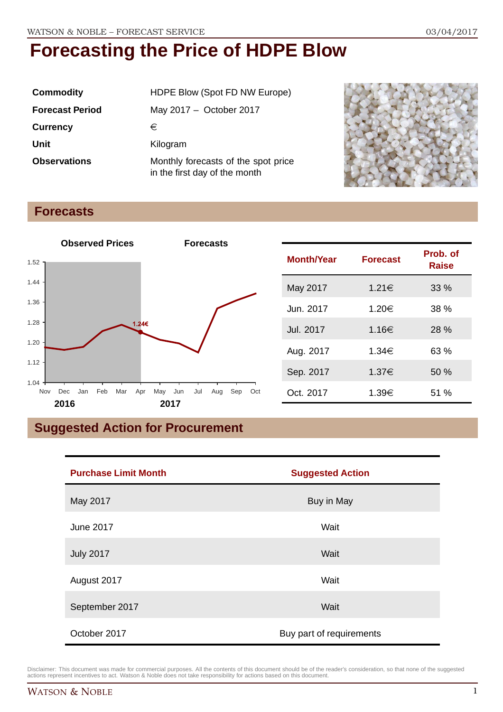| <b>Commodity</b>       | HDPE Blow (Spot FD NW Europe)                                        |  |
|------------------------|----------------------------------------------------------------------|--|
| <b>Forecast Period</b> | May 2017 - October 2017                                              |  |
| <b>Currency</b>        | €                                                                    |  |
| Unit                   | Kilogram                                                             |  |
| <b>Observations</b>    | Monthly forecasts of the spot price<br>in the first day of the month |  |



## **Forecasts**



| <b>Month/Year</b> | <b>Forecast</b> | Prob. of<br><b>Raise</b> |
|-------------------|-----------------|--------------------------|
| May 2017          | 1.21€           | 33%                      |
| Jun. 2017         | 1.20€           | 38 %                     |
| Jul. 2017         | 1.16€           | 28 %                     |
| Aug. 2017         | 1.34€           | 63 %                     |
| Sep. 2017         | 1.37€           | 50 %                     |
| Oct. 2017         | 1.39€           | 51 %                     |

## **Suggested Action for Procurement**

| <b>Purchase Limit Month</b> | <b>Suggested Action</b>  |  |
|-----------------------------|--------------------------|--|
| May 2017                    | Buy in May               |  |
| June 2017                   | Wait                     |  |
| <b>July 2017</b>            | Wait                     |  |
| August 2017                 | Wait                     |  |
| September 2017              | Wait                     |  |
| October 2017                | Buy part of requirements |  |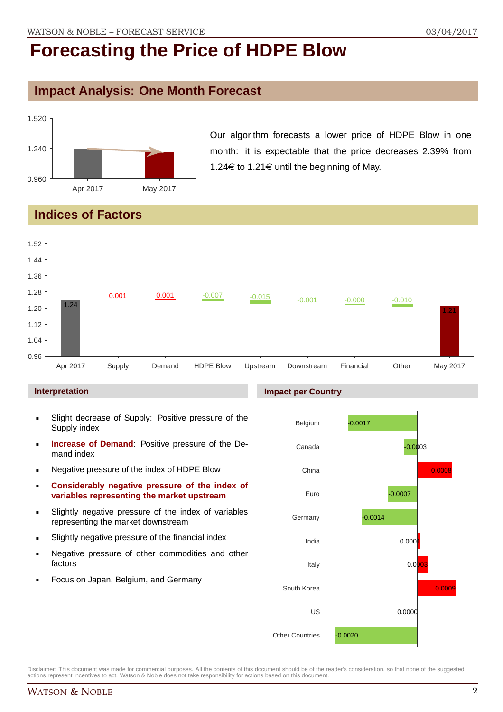## **Impact Analysis: One Month Forecast**



Our algorithm forecasts a lower price of HDPE Blow in one month: it is expectable that the price decreases 2.39% from 1.24€ to 1.21€ until the beginning of May.

## **Indices of Factors**



#### **Interpretation**

- Slight decrease of Supply: Positive pressure of the Supply index
- **Increase of Demand**: Positive pressure of the Demand index
- **Negative pressure of the index of HDPE Blow**
- **Considerably negative pressure of the index of variables representing the market upstream**
- Slightly negative pressure of the index of variables representing the market downstream
- Slightly negative pressure of the financial index
- **Negative pressure of other commodities and other** factors
- **Focus on Japan, Belgium, and Germany**

#### **Impact per Country**

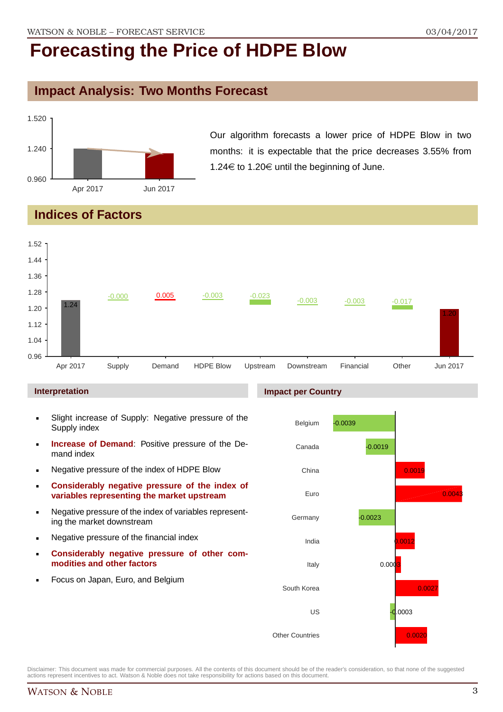### **Impact Analysis: Two Months Forecast**



Our algorithm forecasts a lower price of HDPE Blow in two months: it is expectable that the price decreases 3.55% from 1.24 $\in$  to 1.20 $\in$  until the beginning of June.

## **Indices of Factors**



#### **Interpretation**

- Slight increase of Supply: Negative pressure of the Supply index
- **Increase of Demand**: Positive pressure of the Demand index
- **Negative pressure of the index of HDPE Blow**
- **Considerably negative pressure of the index of variables representing the market upstream**
- Negative pressure of the index of variables representing the market downstream
- **Negative pressure of the financial index**
- **Considerably negative pressure of other commodities and other factors**
- **Focus on Japan, Euro, and Belgium**

#### **Impact per Country**

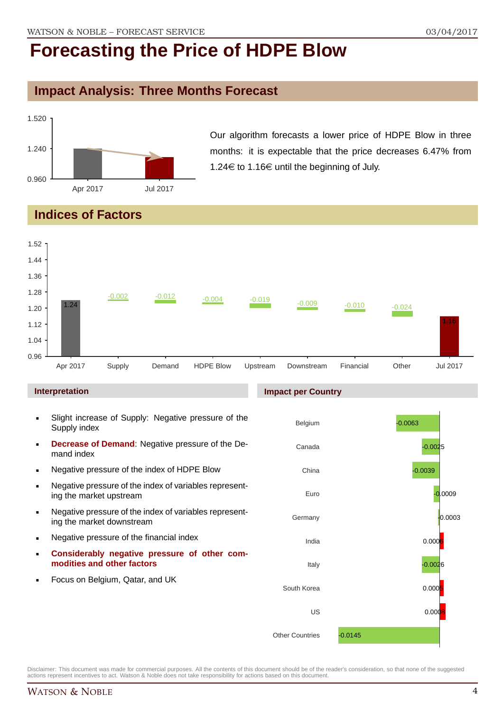## **Impact Analysis: Three Months Forecast**



Our algorithm forecasts a lower price of HDPE Blow in three months: it is expectable that the price decreases 6.47% from 1.24 $\in$  to 1.16 $\in$  until the beginning of July.

## **Indices of Factors**



#### **Interpretation**

- Slight increase of Supply: Negative pressure of the Supply index
- **Decrease of Demand**: Negative pressure of the Demand index
- Negative pressure of the index of HDPE Blow
- Negative pressure of the index of variables representing the market upstream
- Negative pressure of the index of variables representing the market downstream
- **Negative pressure of the financial index**
- **Considerably negative pressure of other commodities and other factors**
- **Focus on Belgium, Qatar, and UK**

#### **Impact per Country**

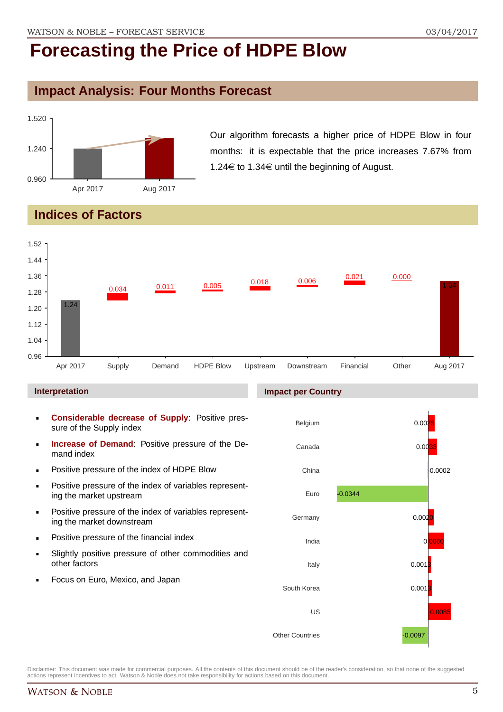## **Impact Analysis: Four Months Forecast**



Our algorithm forecasts a higher price of HDPE Blow in four months: it is expectable that the price increases 7.67% from 1.24 $\in$  to 1.34 $\in$  until the beginning of August.

## **Indices of Factors**



#### **Interpretation**

- **Considerable decrease of Supply**: Positive pressure of the Supply index
- **Increase of Demand**: Positive pressure of the Demand index
- **Positive pressure of the index of HDPE Blow**
- **Positive pressure of the index of variables represent**ing the market upstream
- **Positive pressure of the index of variables represent**ing the market downstream
- **•** Positive pressure of the financial index
- Slightly positive pressure of other commodities and other factors
- Focus on Euro, Mexico, and Japan

#### **Impact per Country**

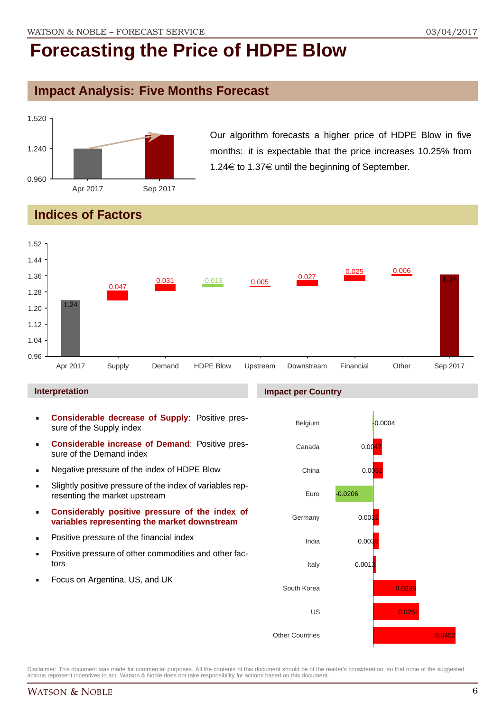### **Impact Analysis: Five Months Forecast**



Our algorithm forecasts a higher price of HDPE Blow in five months: it is expectable that the price increases 10.25% from 1.24 $\in$  to 1.37 $\in$  until the beginning of September.

## **Indices of Factors**



#### **Interpretation**

- **Considerable decrease of Supply**: Positive pressure of the Supply index
- **Considerable increase of Demand**: Positive pressure of the Demand index
- **Negative pressure of the index of HDPE Blow**
- Slightly positive pressure of the index of variables representing the market upstream
- **Considerably positive pressure of the index of variables representing the market downstream**
- **•** Positive pressure of the financial index
- **Positive pressure of other commodities and other fac**tors
- Focus on Argentina, US, and UK

#### **Impact per Country**

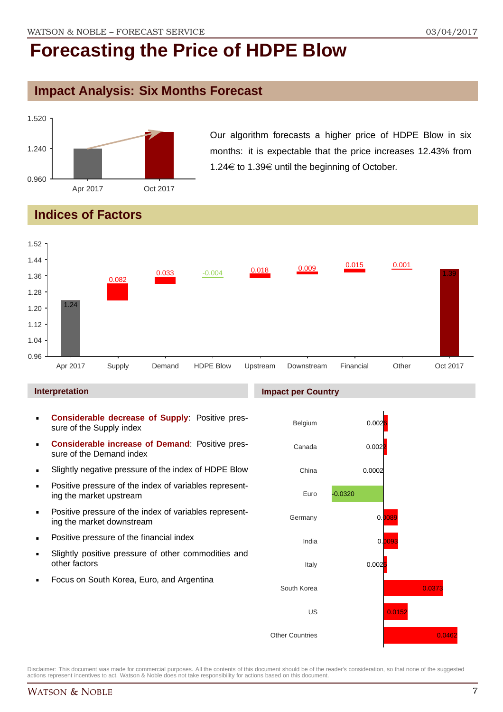## **Impact Analysis: Six Months Forecast**



Our algorithm forecasts a higher price of HDPE Blow in six months: it is expectable that the price increases 12.43% from 1.24€ to 1.39€ until the beginning of October.

## **Indices of Factors**



#### **Interpretation**

- **Considerable decrease of Supply**: Positive pressure of the Supply index
- **Considerable increase of Demand**: Positive pressure of the Demand index
- Slightly negative pressure of the index of HDPE Blow
- **Positive pressure of the index of variables represent**ing the market upstream
- **Positive pressure of the index of variables represent**ing the market downstream
- **•** Positive pressure of the financial index
- Slightly positive pressure of other commodities and other factors
- Focus on South Korea, Euro, and Argentina

## **Impact per Country**

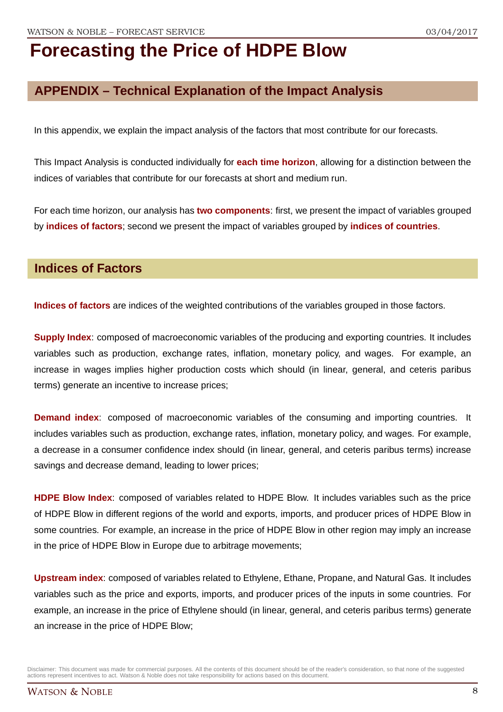## **APPENDIX – Technical Explanation of the Impact Analysis**

In this appendix, we explain the impact analysis of the factors that most contribute for our forecasts.

This Impact Analysis is conducted individually for **each time horizon**, allowing for a distinction between the indices of variables that contribute for our forecasts at short and medium run.

For each time horizon, our analysis has **two components**: first, we present the impact of variables grouped by **indices of factors**; second we present the impact of variables grouped by **indices of countries**.

### **Indices of Factors**

**Indices of factors** are indices of the weighted contributions of the variables grouped in those factors.

**Supply Index**: composed of macroeconomic variables of the producing and exporting countries. It includes variables such as production, exchange rates, inflation, monetary policy, and wages. For example, an increase in wages implies higher production costs which should (in linear, general, and ceteris paribus terms) generate an incentive to increase prices;

**Demand index**: composed of macroeconomic variables of the consuming and importing countries. It includes variables such as production, exchange rates, inflation, monetary policy, and wages. For example, a decrease in a consumer confidence index should (in linear, general, and ceteris paribus terms) increase savings and decrease demand, leading to lower prices;

**HDPE Blow Index**: composed of variables related to HDPE Blow. It includes variables such as the price of HDPE Blow in different regions of the world and exports, imports, and producer prices of HDPE Blow in some countries. For example, an increase in the price of HDPE Blow in other region may imply an increase in the price of HDPE Blow in Europe due to arbitrage movements;

**Upstream index**: composed of variables related to Ethylene, Ethane, Propane, and Natural Gas. It includes variables such as the price and exports, imports, and producer prices of the inputs in some countries. For example, an increase in the price of Ethylene should (in linear, general, and ceteris paribus terms) generate an increase in the price of HDPE Blow;